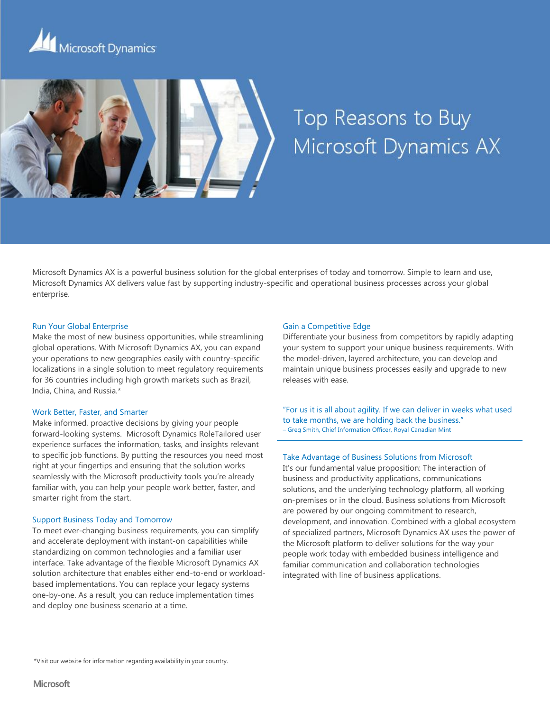



# Top Reasons to Buy Microsoft Dynamics AX

Microsoft Dynamics AX is a powerful business solution for the global enterprises of today and tomorrow. Simple to learn and use, Microsoft Dynamics AX delivers value fast by supporting industry-specific and operational business processes across your global enterprise.

## Run Your Global Enterprise

Make the most of new business opportunities, while streamlining global operations. With Microsoft Dynamics AX, you can expand your operations to new geographies easily with country-specific localizations in a single solution to meet regulatory requirements for 36 countries including high growth markets such as Brazil, India, China, and Russia.\*

#### Work Better, Faster, and Smarter

Make informed, proactive decisions by giving your people forward-looking systems. Microsoft Dynamics RoleTailored user experience surfaces the information, tasks, and insights relevant to specific job functions. By putting the resources you need most right at your fingertips and ensuring that the solution works seamlessly with the Microsoft productivity tools you're already familiar with, you can help your people work better, faster, and smarter right from the start.

### Support Business Today and Tomorrow

To meet ever-changing business requirements, you can simplify and accelerate deployment with instant-on capabilities while standardizing on common technologies and a familiar user interface. Take advantage of the flexible Microsoft Dynamics AX solution architecture that enables either end-to-end or workloadbased implementations. You can replace your legacy systems one-by-one. As a result, you can reduce implementation times and deploy one business scenario at a time.

## Gain a Competitive Edge

Differentiate your business from competitors by rapidly adapting your system to support your unique business requirements. With the model-driven, layered architecture, you can develop and maintain unique business processes easily and upgrade to new releases with ease.

"For us it is all about agility. If we can deliver in weeks what used to take months, we are holding back the business." – Greg Smith, Chief Information Officer, Royal Canadian Mint

#### Take Advantage of Business Solutions from Microsoft

It's our fundamental value proposition: The interaction of business and productivity applications, communications solutions, and the underlying technology platform, all working on-premises or in the cloud. Business solutions from Microsoft are powered by our ongoing commitment to research, development, and innovation. Combined with a global ecosystem of specialized partners, Microsoft Dynamics AX uses the power of the Microsoft platform to deliver solutions for the way your people work today with embedded business intelligence and familiar communication and collaboration technologies integrated with line of business applications.

\*Visit our website for information regarding availability in your country.